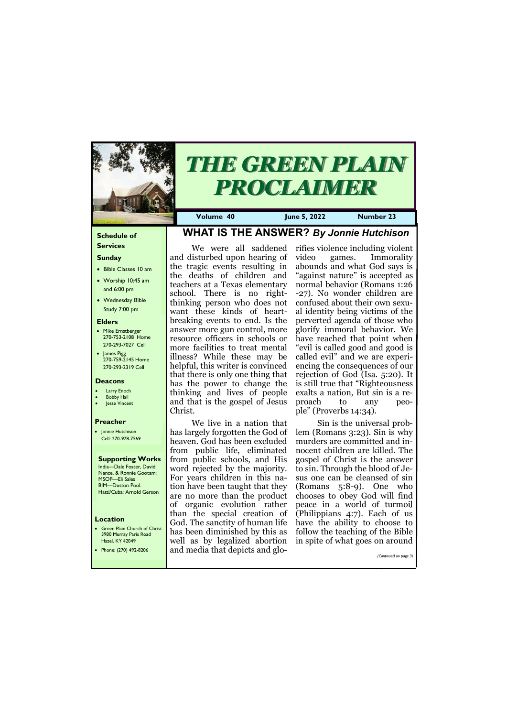#### **Schedule of Services**

#### **Sunday**

- Bible Classes 10 am
- Worship 10:45 am and 6:00 pm
- Wednesday Bible Study 7:00 pm

#### **Elders**

**Green Plain Church of Christ** 3980 Murray Paris Road Hazel, KY 42049

- Mike Ernstberger 270-753-2108 Home 270-293-7027 Cell
- James Pigg 270-759-2145 Home 270-293-2319 Cell

#### **Location**



# *THE GREEN PLAIN PROCLAIMER*

**Volume 40 June 5, 2022 Number 23**

#### **Deacons**

- **Larry Enoch**
- **Bobby Hall** lesse Vincent
- 

#### **Preacher**

• Jonnie Hutchison Cell: 270-978-7569

#### **Supporting Works** India—Dale Foster, David Nance. & Ronnie Gootam;

MSOP—Eli Sales BIM—Duston Pool. Hatti/Cuba: Arnold Gerson

# **WHAT IS THE ANSWER?** *By Jonnie Hutchison*

We were all saddened and disturbed upon hearing of the tragic events resulting in the deaths of children and teachers at a Texas elementary school. There is no rightthinking person who does not want these kinds of heartbreaking events to end. Is the answer more gun control, more resource officers in schools or more facilities to treat mental illness? While these may be helpful, this writer is convinced that there is only one thing that has the power to change the thinking and lives of people and that is the gospel of Jesus Christ.

> Sin is the universal problem (Romans 3:23). Sin is why murders are committed and innocent children are killed. The gospel of Christ is the answer to sin. Through the blood of Jesus one can be cleansed of sin (Romans 5:8-9). One who chooses to obey God will find peace in a world of turmoil (Philippians 4:7). Each of us have the ability to choose to follow the teaching of the Bible in spite of what goes on around

We live in a nation that has largely forgotten the God of heaven. God has been excluded from public life, eliminated from public schools, and His word rejected by the majority. For years children in this nation have been taught that they are no more than the product of organic evolution rather than the special creation of God. The sanctity of human life has been diminished by this as well as by legalized abortion

| HZCI, INI TZUTI       |                                 | well as by regarded abortion. In spite of what goes on around |
|-----------------------|---------------------------------|---------------------------------------------------------------|
| Phone: (270) 492-8206 | and media that depicts and glo- |                                                               |
|                       |                                 | (Continued on page 3)                                         |
|                       |                                 |                                                               |
|                       |                                 |                                                               |

rifies violence including violent video games. Immorality abounds and what God says is "against nature" is accepted as normal behavior (Romans 1:26 -27). No wonder children are confused about their own sexual identity being victims of the perverted agenda of those who glorify immoral behavior. We have reached that point when "evil is called good and good is called evil" and we are experiencing the consequences of our rejection of God (Isa. 5:20). It is still true that "Righteousness exalts a nation, But sin is a reproach to any people" (Proverbs 14:34).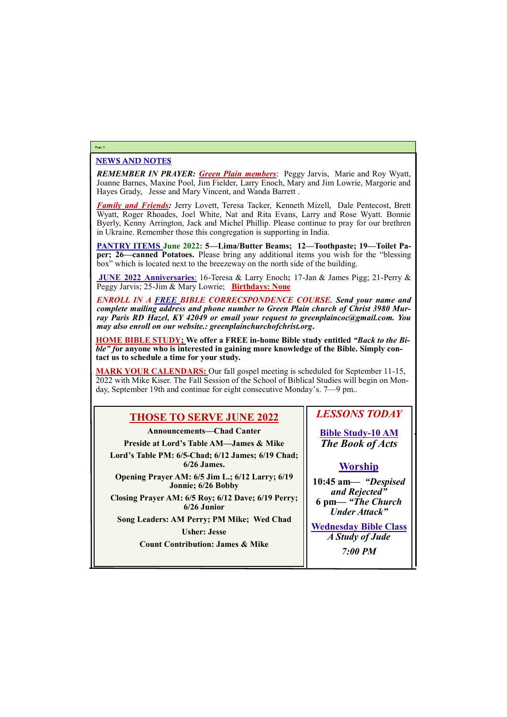#### NEWS AND NOTES

*REMEMBER IN PRAYER: Green Plain members*: Peggy Jarvis, Marie and Roy Wyatt, Joanne Barnes, Maxine Pool, Jim Fielder, Larry Enoch, Mary and Jim Lowrie, Margorie and Hayes Grady, Jesse and Mary Vincent, and Wanda Barrett .

*Family and Friends:* Jerry Lovett, Teresa Tacker, Kenneth Mizell, Dale Pentecost, Brett Wyatt, Roger Rhoades, Joel White, Nat and Rita Evans, Larry and Rose Wyatt. Bonnie Byerly, Kenny Arrington, Jack and Michel Phillip. Please continue to pray for our brethren in Ukraine. Remember those this congregation is supporting in India.

**PANTRY ITEMS June 2022: 5—Lima/Butter Beams; 12—Toothpaste; 19—Toilet Paper; 26—canned Potatoes.** Please bring any additional items you wish for the "blessing box" which is located next to the breezeway on the north side of the building.

**JUNE 2022 Anniversaries**: 16-Teresa & Larry Enoch**;** 17-Jan & James Pigg; 21-Perry & Peggy Jarvis; 25-Jim & Mary Lowrie; **Birthdays: None**

*ENROLL IN A FREE BIBLE CORRECSPONDENCE COURSE. Send your name and complete mailing address and phone number to Green Plain church of Christ 3980 Murray Paris RD Hazel, KY 42049 or email your request to greenplaincoc@gmail.com. You may also enroll on our website.: greenplainchurchofchrist.org***.**

**HOME BIBLE STUDY; We offer a FREE in-home Bible study entitled** *"Back to the Bible" f***or anyone who is interested in gaining more knowledge of the Bible. Simply contact us to schedule a time for your study.**

**MARK YOUR CALENDARS:** Our fall gospel meeting is scheduled for September 11-15, 2022 with Mike Kiser. The Fall Session of the School of Biblical Studies will begin on Monday, September 19th and continue for eight consecutive Monday's. 7—9 pm..

#### **Page 2**

# **THOSE TO SERVE JUNE 2022**

**Announcements—Chad Canter**

**Preside at Lord's Table AM—James & Mike**

**Lord's Table PM: 6/5-Chad; 6/12 James; 6/19 Chad; 6/26 James.**

**Opening Prayer AM: 6/5 Jim L.; 6/12 Larry; 6/19 Jonnie; 6/26 Bobby**

**Closing Prayer AM: 6/5 Roy; 6/12 Dave; 6/19 Perry; 6/26 Junior**

**Song Leaders: AM Perry; PM Mike; Wed Chad**

**Usher: Jesse**

## *LESSONS TODAY*

**Bible Study-10 AM** *The Book of Acts*

## **Worship**

| <b>Count Contribution: James &amp; Mike</b> |                |  |
|---------------------------------------------|----------------|--|
|                                             | <b>7:00 PM</b> |  |
|                                             |                |  |

**10:45 am***— "Despised and Rejected"* **6 pm—** *"The Church Under Attack"*

**Wednesday Bible Class** *A Study of Jude*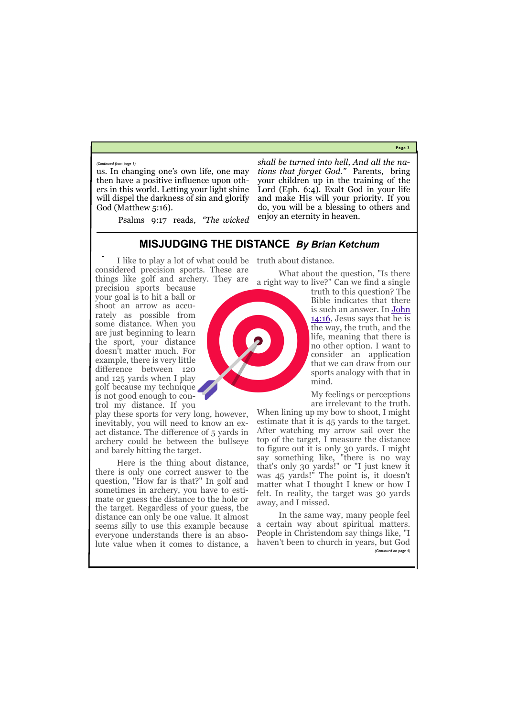**Page 3**

us. In changing one's own life, one may then have a positive influence upon others in this world. Letting your light shine will dispel the darkness of sin and glorify God (Matthew 5:16).

Psalms 9:17 reads, *"The wicked* 

*shall be turned into hell, And all the nations that forget God."* Parents, bring your children up in the training of the Lord (Eph. 6:4). Exalt God in your life and make His will your priority. If you do, you will be a blessing to others and enjoy an eternity in heaven.

*(Continued from page 1)*

# **MISJUDGING THE DISTANCE** *By Brian Ketchum*

I like to play a lot of what could be truth about distance. considered precision sports. These are things like golf and archery. They are

precision sports because your goal is to hit a ball or shoot an arrow as accurately as possible from some distance. When you are just beginning to learn the sport, your distance doesn't matter much. For example, there is very little difference between 120 and 125 yards when I play golf because my technique is not good enough to control my distance. If you

play these sports for very long, however, inevitably, you will need to know an exact distance. The difference of 5 yards in archery could be between the bullseye and barely hitting the target.

What about the question, "Is there a right way to live?" Can we find a single

truth to this question? The Bible indicates that there is such an answer. In [John](https://biblia.com/bible/nasb95/John%2014.16)  [14:16,](https://biblia.com/bible/nasb95/John%2014.16) Jesus says that he is the way, the truth, and the life, meaning that there is no other option. I want to consider an application that we can draw from our sports analogy with that in mind.

Here is the thing about distance, there is only one correct answer to the question, "How far is that?" In golf and sometimes in archery, you have to estimate or guess the distance to the hole or the target. Regardless of your guess, the distance can only be one value. It almost seems silly to use this example because everyone understands there is an absoaway, and I missed. *(Continued on page 4)*

My feelings or perceptions are irrelevant to the truth.

lute value when it comes to distance, a haven't been to church in years, but God In the same way, many people feel a certain way about spiritual matters. People in Christendom say things like, "I

When lining up my bow to shoot, I might estimate that it is 45 yards to the target. After watching my arrow sail over the top of the target, I measure the distance to figure out it is only 30 yards. I might say something like, "there is no way that's only 30 yards!" or "I just knew it was 45 yards!" The point is, it doesn't matter what I thought I knew or how I felt. In reality, the target was 30 yards